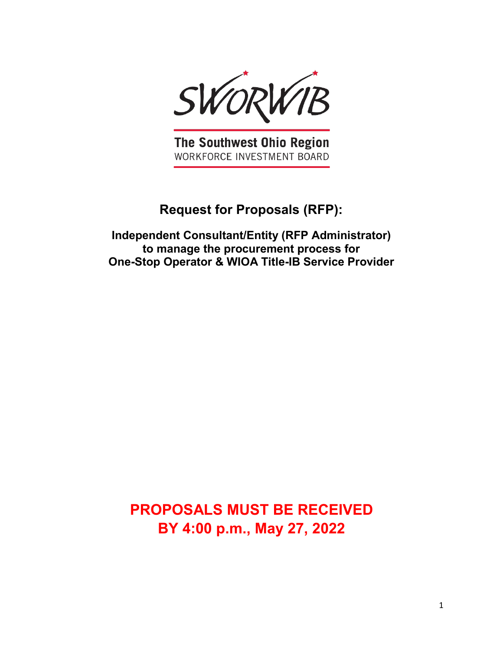

The Southwest Ohio Region WORKFORCE INVESTMENT BOARD

# **Request for Proposals (RFP):**

**Independent Consultant/Entity (RFP Administrator) to manage the procurement process for One-Stop Operator & WIOA Title-IB Service Provider** 

**PROPOSALS MUST BE RECEIVED BY 4:00 p.m., May 27, 2022**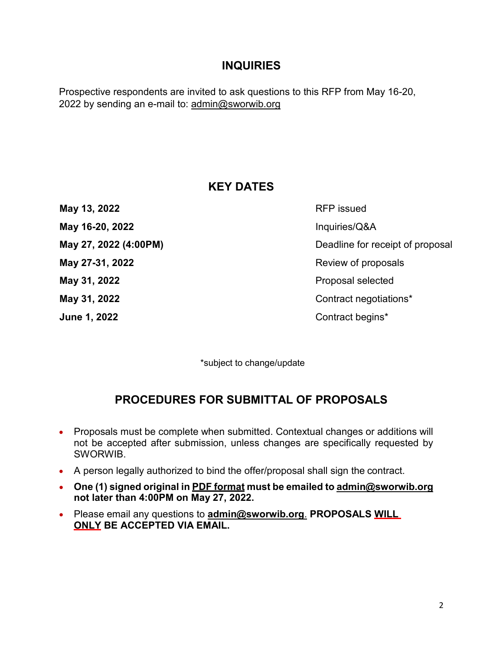## **INQUIRIES**

Prospective respondents are invited to ask questions to this RFP from May 16-20, 2022 by sending an e-mail to: [admin@sworwib.org](mailto:admin@sworwib.org)

## **KEY DATES**

**May 16-20, 2022 Inquiries/Q&A May 31, 2022 Proposal selected June 1, 2022** Contract begins<sup>\*</sup>

**May 13, 2022** RFP issued **May 27, 2022 (4:00PM)** Deadline for receipt of proposal **May 27-31, 2022** Review of proposals **May 31, 2022** Contract negotiations<sup>\*</sup>

\*subject to change/update

## **PROCEDURES FOR SUBMITTAL OF PROPOSALS**

- Proposals must be complete when submitted. Contextual changes or additions will not be accepted after submission, unless changes are specifically requested by **SWORWIB**
- A person legally authorized to bind the offer/proposal shall sign the contract.
- **One (1) signed original in PDF format must be emailed to [admin@sworwib.org](mailto:admin@sworwib.org) not later than 4:00PM on May 27, 2022.**
- Please email any questions to **[admin@sworwib.org](mailto:admin@sworwib.org.)**. **PROPOSALS WILL ONLY BE ACCEPTED VIA EMAIL.**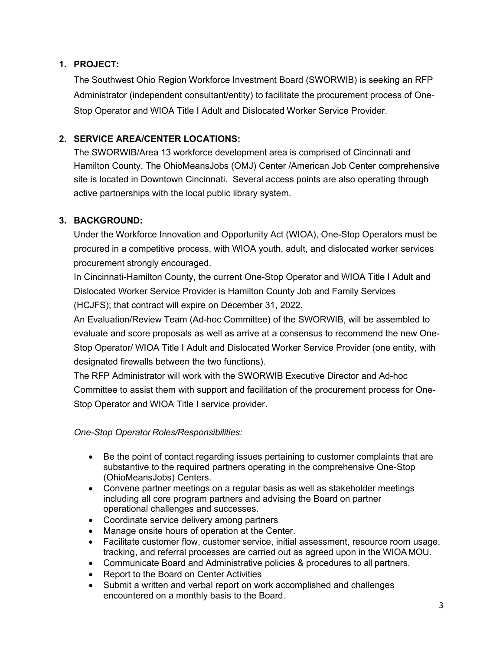### **1. PROJECT:**

The Southwest Ohio Region Workforce Investment Board (SWORWIB) is seeking an RFP Administrator (independent consultant/entity) to facilitate the procurement process of One-Stop Operator and WIOA Title I Adult and Dislocated Worker Service Provider.

## **2. SERVICE AREA/CENTER LOCATIONS:**

The SWORWIB/Area 13 workforce development area is comprised of Cincinnati and Hamilton County. The OhioMeansJobs (OMJ) Center /American Job Center comprehensive site is located in Downtown Cincinnati. Several access points are also operating through active partnerships with the local public library system.

## **3. BACKGROUND:**

Under the Workforce Innovation and Opportunity Act (WIOA), One-Stop Operators must be procured in a competitive process, with WIOA youth, adult, and dislocated worker services procurement strongly encouraged.

In Cincinnati-Hamilton County, the current One-Stop Operator and WIOA Title I Adult and Dislocated Worker Service Provider is Hamilton County Job and Family Services (HCJFS); that contract will expire on December 31, 2022.

An Evaluation/Review Team (Ad-hoc Committee) of the SWORWIB, will be assembled to evaluate and score proposals as well as arrive at a consensus to recommend the new One-Stop Operator/ WIOA Title I Adult and Dislocated Worker Service Provider (one entity, with designated firewalls between the two functions).

The RFP Administrator will work with the SWORWIB Executive Director and Ad-hoc Committee to assist them with support and facilitation of the procurement process for One-Stop Operator and WIOA Title I service provider.

*One-Stop Operator Roles/Responsibilities:*

- Be the point of contact regarding issues pertaining to customer complaints that are substantive to the required partners operating in the comprehensive One-Stop (OhioMeansJobs) Centers.
- Convene partner meetings on a regular basis as well as stakeholder meetings including all core program partners and advising the Board on partner operational challenges and successes.
- Coordinate service delivery among partners
- Manage onsite hours of operation at the Center.
- Facilitate customer flow, customer service, initial assessment, resource room usage, tracking, and referral processes are carried out as agreed upon in the WIOA MOU.
- Communicate Board and Administrative policies & procedures to all partners.
- Report to the Board on Center Activities
- Submit a written and verbal report on work accomplished and challenges encountered on a monthly basis to the Board.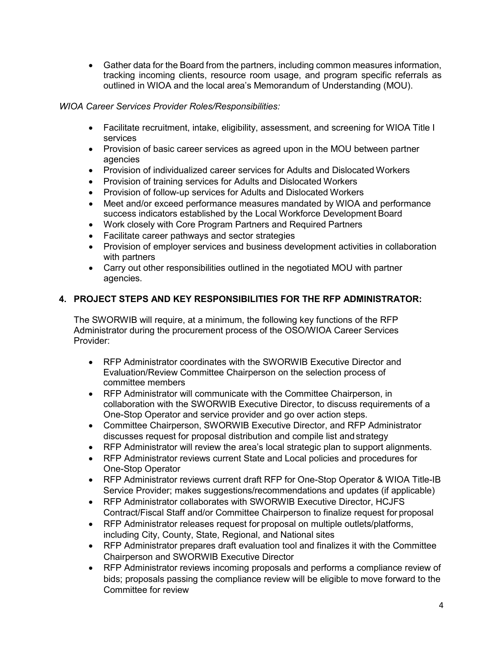• Gather data for the Board from the partners, including common measures information, tracking incoming clients, resource room usage, and program specific referrals as outlined in WIOA and the local area's Memorandum of Understanding (MOU).

#### *WIOA Career Services Provider Roles/Responsibilities:*

- Facilitate recruitment, intake, eligibility, assessment, and screening for WIOA Title I services
- Provision of basic career services as agreed upon in the MOU between partner agencies
- Provision of individualized career services for Adults and Dislocated Workers
- Provision of training services for Adults and Dislocated Workers
- Provision of follow-up services for Adults and Dislocated Workers
- Meet and/or exceed performance measures mandated by WIOA and performance success indicators established by the Local Workforce Development Board
- Work closely with Core Program Partners and Required Partners
- Facilitate career pathways and sector strategies
- Provision of employer services and business development activities in collaboration with partners
- Carry out other responsibilities outlined in the negotiated MOU with partner agencies.

#### **4. PROJECT STEPS AND KEY RESPONSIBILITIES FOR THE RFP ADMINISTRATOR:**

The SWORWIB will require, at a minimum, the following key functions of the RFP Administrator during the procurement process of the OSO/WIOA Career Services Provider:

- RFP Administrator coordinates with the SWORWIB Executive Director and Evaluation/Review Committee Chairperson on the selection process of committee members
- RFP Administrator will communicate with the Committee Chairperson, in collaboration with the SWORWIB Executive Director, to discuss requirements of a One-Stop Operator and service provider and go over action steps.
- Committee Chairperson, SWORWIB Executive Director, and RFP Administrator discusses request for proposal distribution and compile list and strategy
- RFP Administrator will review the area's local strategic plan to support alignments.
- RFP Administrator reviews current State and Local policies and procedures for One-Stop Operator
- RFP Administrator reviews current draft RFP for One-Stop Operator & WIOA Title-IB Service Provider; makes suggestions/recommendations and updates (if applicable)
- RFP Administrator collaborates with SWORWIB Executive Director, HCJFS Contract/Fiscal Staff and/or Committee Chairperson to finalize request for proposal
- RFP Administrator releases request for proposal on multiple outlets/platforms, including City, County, State, Regional, and National sites
- RFP Administrator prepares draft evaluation tool and finalizes it with the Committee Chairperson and SWORWIB Executive Director
- RFP Administrator reviews incoming proposals and performs a compliance review of bids; proposals passing the compliance review will be eligible to move forward to the Committee for review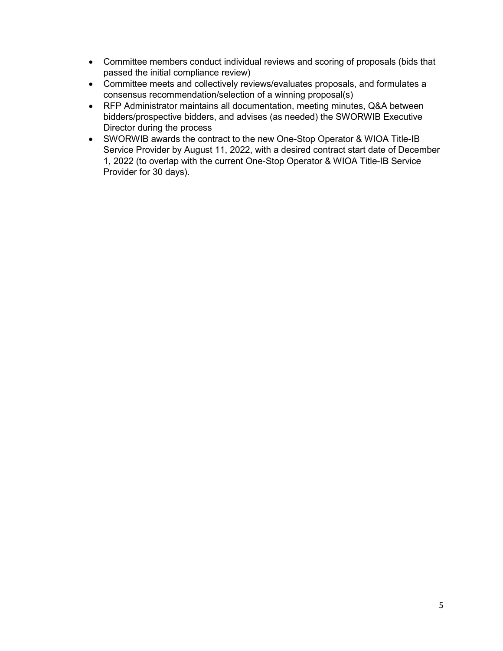- Committee members conduct individual reviews and scoring of proposals (bids that passed the initial compliance review)
- Committee meets and collectively reviews/evaluates proposals, and formulates a consensus recommendation/selection of a winning proposal(s)
- RFP Administrator maintains all documentation, meeting minutes, Q&A between bidders/prospective bidders, and advises (as needed) the SWORWIB Executive Director during the process
- SWORWIB awards the contract to the new One-Stop Operator & WIOA Title-IB Service Provider by August 11, 2022, with a desired contract start date of December 1, 2022 (to overlap with the current One-Stop Operator & WIOA Title-IB Service Provider for 30 days).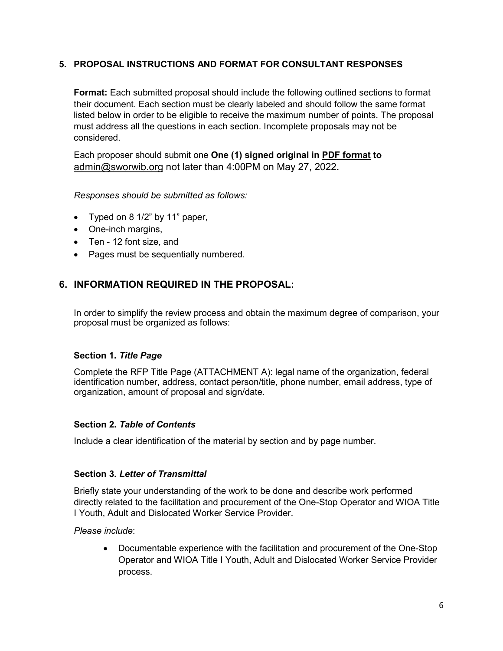#### **5. PROPOSAL INSTRUCTIONS AND FORMAT FOR CONSULTANT RESPONSES**

**Format:** Each submitted proposal should include the following outlined sections to format their document. Each section must be clearly labeled and should follow the same format listed below in order to be eligible to receive the maximum number of points. The proposal must address all the questions in each section. Incomplete proposals may not be considered.

Each proposer should submit one **One (1) signed original in PDF format to**  [admin@sworwib.org](mailto:admin@sworwib.org) not later than 4:00PM on May 27, 2022**.**

*Responses should be submitted as follows:*

- Typed on 8 1/2" by 11" paper,
- One-inch margins,
- Ten 12 font size, and
- Pages must be sequentially numbered.

## **6. INFORMATION REQUIRED IN THE PROPOSAL:**

In order to simplify the review process and obtain the maximum degree of comparison, your proposal must be organized as follows:

#### **Section 1.** *Title Page*

Complete the RFP Title Page (ATTACHMENT A): legal name of the organization, federal identification number, address, contact person/title, phone number, email address, type of organization, amount of proposal and sign/date.

#### **Section 2.** *Table of Contents*

Include a clear identification of the material by section and by page number.

#### **Section 3.** *Letter of Transmittal*

Briefly state your understanding of the work to be done and describe work performed directly related to the facilitation and procurement of the One-Stop Operator and WIOA Title I Youth, Adult and Dislocated Worker Service Provider.

*Please include*:

• Documentable experience with the facilitation and procurement of the One-Stop Operator and WIOA Title I Youth, Adult and Dislocated Worker Service Provider process.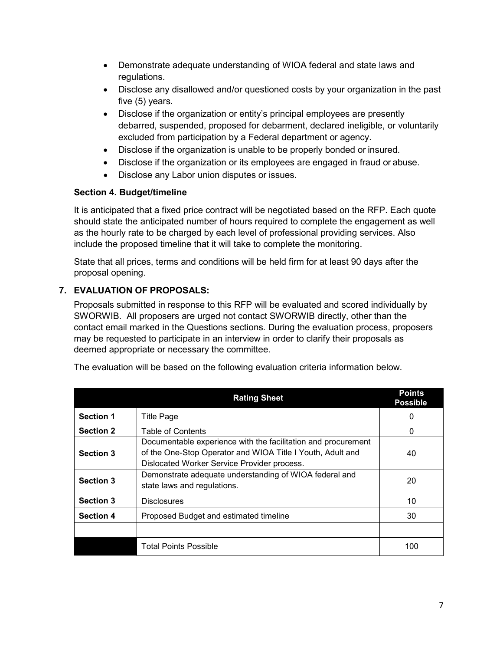- Demonstrate adequate understanding of WIOA federal and state laws and regulations.
- Disclose any disallowed and/or questioned costs by your organization in the past five (5) years.
- Disclose if the organization or entity's principal employees are presently debarred, suspended, proposed for debarment, declared ineligible, or voluntarily excluded from participation by a Federal department or agency.
- Disclose if the organization is unable to be properly bonded or insured.
- Disclose if the organization or its employees are engaged in fraud or abuse.
- Disclose any Labor union disputes or issues.

## **Section 4. Budget/timeline**

It is anticipated that a fixed price contract will be negotiated based on the RFP. Each quote should state the anticipated number of hours required to complete the engagement as well as the hourly rate to be charged by each level of professional providing services. Also include the proposed timeline that it will take to complete the monitoring.

State that all prices, terms and conditions will be held firm for at least 90 days after the proposal opening.

## **7. EVALUATION OF PROPOSALS:**

Proposals submitted in response to this RFP will be evaluated and scored individually by SWORWIB. All proposers are urged not contact SWORWIB directly, other than the contact email marked in the Questions sections. During the evaluation process, proposers may be requested to participate in an interview in order to clarify their proposals as deemed appropriate or necessary the committee.

|                  | <b>Rating Sheet</b>                                                                                                                                                        | <b>Points</b><br><b>Possible</b> |
|------------------|----------------------------------------------------------------------------------------------------------------------------------------------------------------------------|----------------------------------|
| <b>Section 1</b> | <b>Title Page</b>                                                                                                                                                          | 0                                |
| <b>Section 2</b> | <b>Table of Contents</b>                                                                                                                                                   | 0                                |
| <b>Section 3</b> | Documentable experience with the facilitation and procurement<br>of the One-Stop Operator and WIOA Title I Youth, Adult and<br>Dislocated Worker Service Provider process. | 40                               |
| <b>Section 3</b> | Demonstrate adequate understanding of WIOA federal and<br>state laws and regulations.                                                                                      | 20                               |
| <b>Section 3</b> | <b>Disclosures</b>                                                                                                                                                         | 10                               |
| <b>Section 4</b> | Proposed Budget and estimated timeline                                                                                                                                     | 30                               |
|                  |                                                                                                                                                                            |                                  |
|                  | Total Points Possible                                                                                                                                                      | 100                              |

The evaluation will be based on the following evaluation criteria information below.